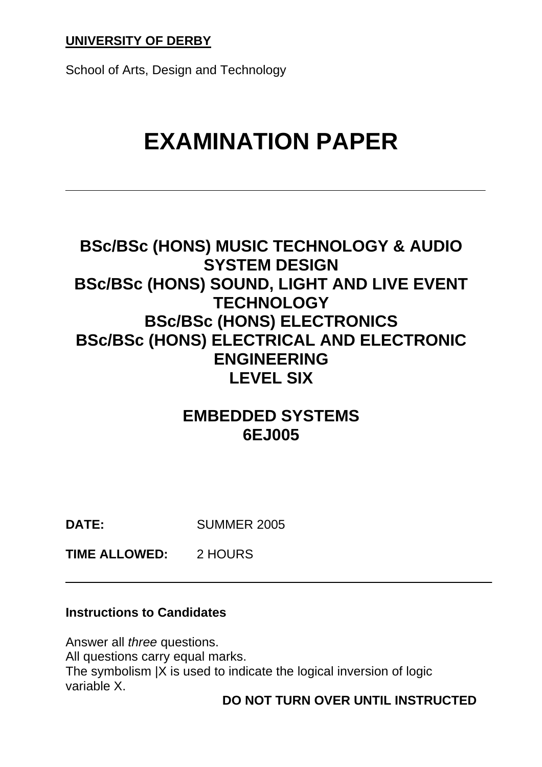School of Arts, Design and Technology

# **EXAMINATION PAPER**

## **BSc/BSc (HONS) MUSIC TECHNOLOGY & AUDIO SYSTEM DESIGN BSc/BSc (HONS) SOUND, LIGHT AND LIVE EVENT TECHNOLOGY BSc/BSc (HONS) ELECTRONICS BSc/BSc (HONS) ELECTRICAL AND ELECTRONIC ENGINEERING LEVEL SIX**

## **EMBEDDED SYSTEMS 6EJ005**

**DATE:** SUMMER 2005

**TIME ALLOWED:** 2 HOURS

#### **Instructions to Candidates**

Answer all *three* questions. All questions carry equal marks. The symbolism |X is used to indicate the logical inversion of logic variable X.

**DO NOT TURN OVER UNTIL INSTRUCTED**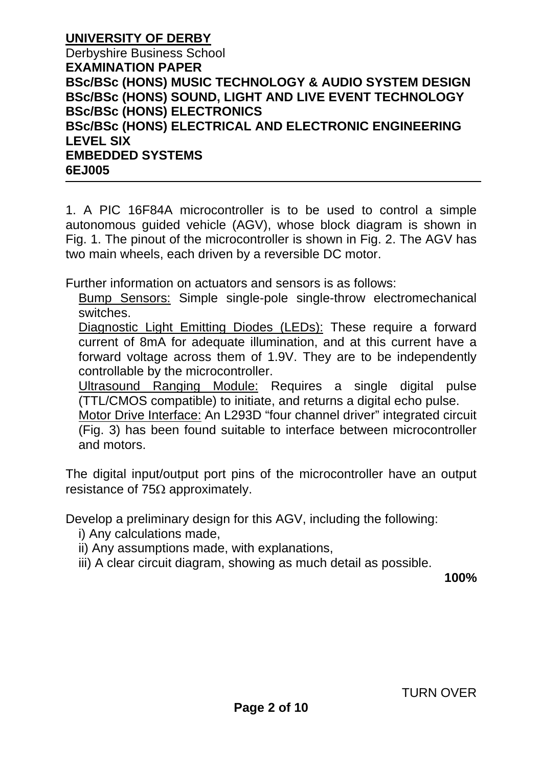**UNIVERSITY OF DERBY** Derbyshire Business School **EXAMINATION PAPER BSc/BSc (HONS) MUSIC TECHNOLOGY & AUDIO SYSTEM DESIGN BSc/BSc (HONS) SOUND, LIGHT AND LIVE EVENT TECHNOLOGY BSc/BSc (HONS) ELECTRONICS BSc/BSc (HONS) ELECTRICAL AND ELECTRONIC ENGINEERING LEVEL SIX EMBEDDED SYSTEMS 6EJ005**

1. A PIC 16F84A microcontroller is to be used to control a simple autonomous guided vehicle (AGV), whose block diagram is shown in Fig. 1. The pinout of the microcontroller is shown in Fig. 2. The AGV has two main wheels, each driven by a reversible DC motor.

Further information on actuators and sensors is as follows:

Bump Sensors: Simple single-pole single-throw electromechanical switches.

Diagnostic Light Emitting Diodes (LEDs): These require a forward current of 8mA for adequate illumination, and at this current have a forward voltage across them of 1.9V. They are to be independently controllable by the microcontroller.

Ultrasound Ranging Module: Requires a single digital pulse (TTL/CMOS compatible) to initiate, and returns a digital echo pulse.

Motor Drive Interface: An L293D "four channel driver" integrated circuit (Fig. 3) has been found suitable to interface between microcontroller and motors.

The digital input/output port pins of the microcontroller have an output resistance of 75Ω approximately.

Develop a preliminary design for this AGV, including the following:

- i) Any calculations made,
- ii) Any assumptions made, with explanations,
- iii) A clear circuit diagram, showing as much detail as possible.

**100%**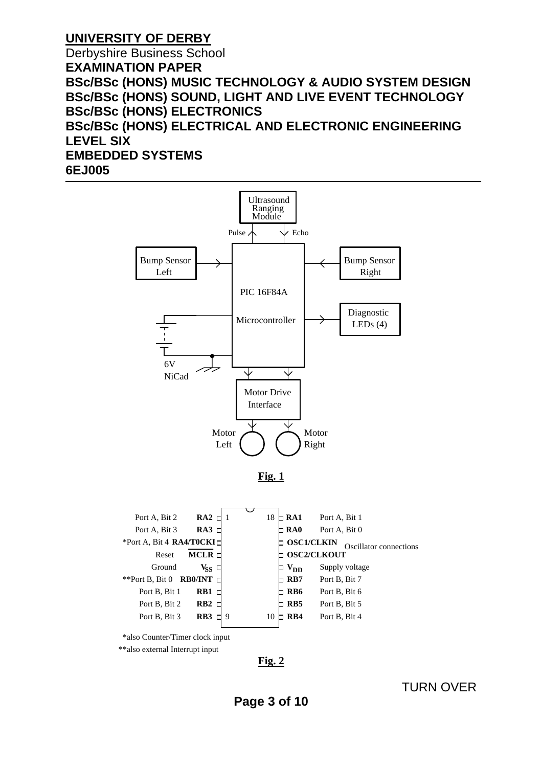Derbyshire Business School **EXAMINATION PAPER BSc/BSc (HONS) MUSIC TECHNOLOGY & AUDIO SYSTEM DESIGN BSc/BSc (HONS) SOUND, LIGHT AND LIVE EVENT TECHNOLOGY BSc/BSc (HONS) ELECTRONICS BSc/BSc (HONS) ELECTRICAL AND ELECTRONIC ENGINEERING LEVEL SIX EMBEDDED SYSTEMS 6EJ005**



\*\*also external Interrupt input

**Fig. 2**

TURN OVER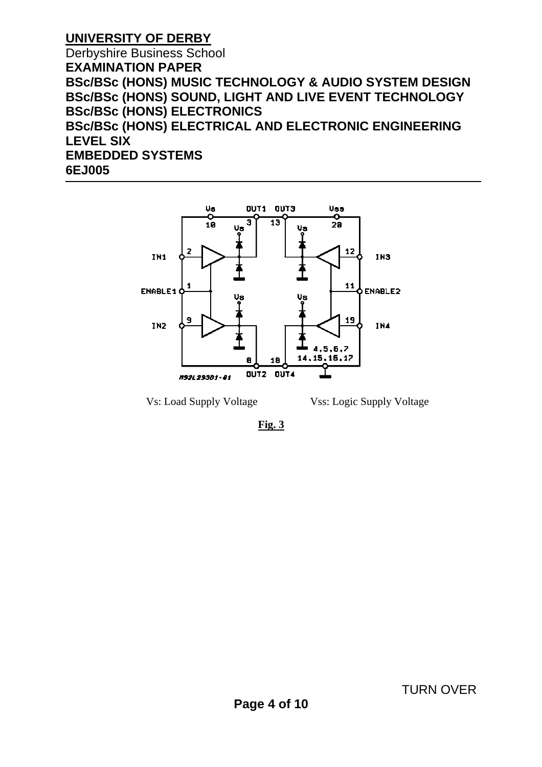Derbyshire Business School **EXAMINATION PAPER BSc/BSc (HONS) MUSIC TECHNOLOGY & AUDIO SYSTEM DESIGN BSc/BSc (HONS) SOUND, LIGHT AND LIVE EVENT TECHNOLOGY BSc/BSc (HONS) ELECTRONICS BSc/BSc (HONS) ELECTRICAL AND ELECTRONIC ENGINEERING LEVEL SIX EMBEDDED SYSTEMS 6EJ005**



Vs: Load Supply Voltage Vss: Logic Supply Voltage

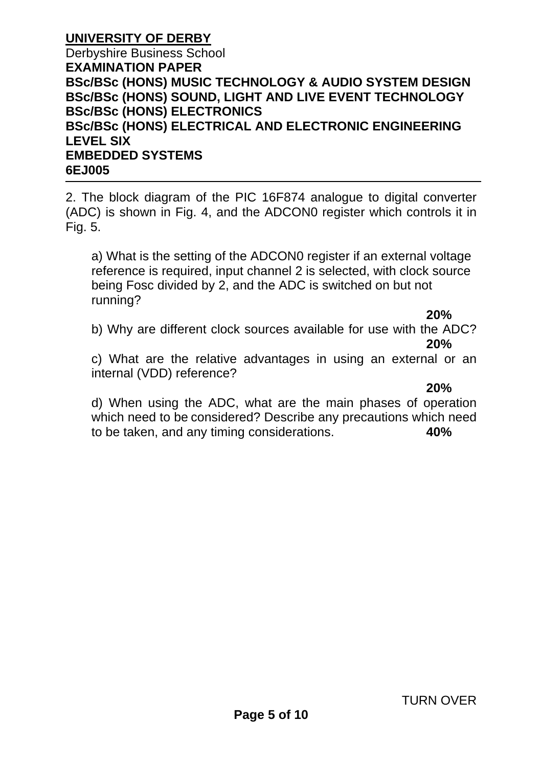#### **UNIVERSITY OF DERBY** Derbyshire Business School **EXAMINATION PAPER BSc/BSc (HONS) MUSIC TECHNOLOGY & AUDIO SYSTEM DESIGN BSc/BSc (HONS) SOUND, LIGHT AND LIVE EVENT TECHNOLOGY BSc/BSc (HONS) ELECTRONICS BSc/BSc (HONS) ELECTRICAL AND ELECTRONIC ENGINEERING LEVEL SIX EMBEDDED SYSTEMS 6EJ005**

2. The block diagram of the PIC 16F874 analogue to digital converter (ADC) is shown in Fig. 4, and the ADCON0 register which controls it in Fig. 5.

a) What is the setting of the ADCON0 register if an external voltage reference is required, input channel 2 is selected, with clock source being Fosc divided by 2, and the ADC is switched on but not running?

**20%** 

b) Why are different clock sources available for use with the ADC? **20%**

c) What are the relative advantages in using an external or an internal (VDD) reference?

**20%**

d) When using the ADC, what are the main phases of operation which need to be considered? Describe any precautions which need to be taken, and any timing considerations. **40%**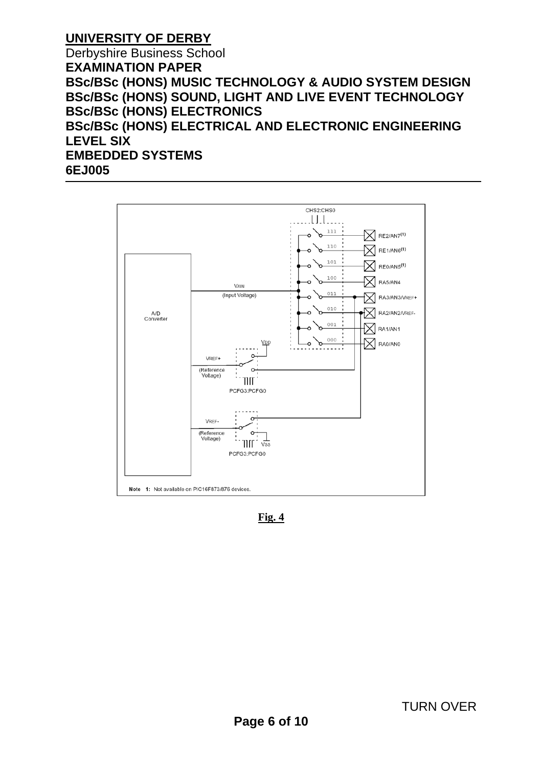Derbyshire Business School **EXAMINATION PAPER BSc/BSc (HONS) MUSIC TECHNOLOGY & AUDIO SYSTEM DESIGN BSc/BSc (HONS) SOUND, LIGHT AND LIVE EVENT TECHNOLOGY BSc/BSc (HONS) ELECTRONICS BSc/BSc (HONS) ELECTRICAL AND ELECTRONIC ENGINEERING LEVEL SIX EMBEDDED SYSTEMS 6EJ005**



**Fig. 4**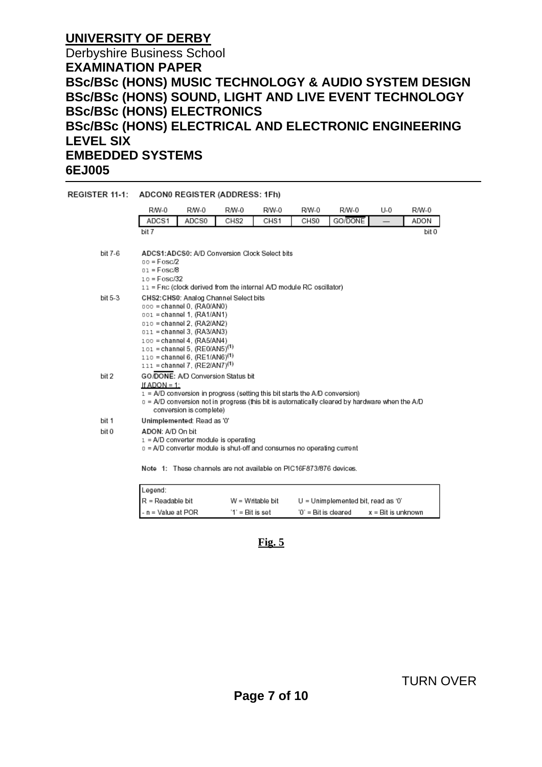#### Derbyshire Business School **EXAMINATION PAPER BSc/BSc (HONS) MUSIC TECHNOLOGY & AUDIO SYSTEM DESIGN BSc/BSc (HONS) SOUND, LIGHT AND LIVE EVENT TECHNOLOGY BSc/BSc (HONS) ELECTRONICS BSc/BSc (HONS) ELECTRICAL AND ELECTRONIC ENGINEERING LEVEL SIX EMBEDDED SYSTEMS 6EJ005**

| REGISTER 11-1: ADCON0 REGISTER (ADDRESS: 1Fh) |                                                                                                                                                                                                                                                                                                                         |       |                  |       |       |         |     |       |  |  |
|-----------------------------------------------|-------------------------------------------------------------------------------------------------------------------------------------------------------------------------------------------------------------------------------------------------------------------------------------------------------------------------|-------|------------------|-------|-------|---------|-----|-------|--|--|
|                                               | R/W-0                                                                                                                                                                                                                                                                                                                   | RM-0  | R/W-0            | R/W-0 | R/W-0 | R/W-0   | U-0 | R/W-0 |  |  |
|                                               | ADCS1                                                                                                                                                                                                                                                                                                                   | ADCS0 | CHS <sub>2</sub> | CHS1  | CHS0  | GO/DONE |     | ADON  |  |  |
|                                               | bit 7                                                                                                                                                                                                                                                                                                                   |       |                  |       |       |         |     | bit 0 |  |  |
| bit 7-6                                       | ADCS1: ADCS0: A/D Conversion Clock Select bits<br>$00 = F \cos \frac{D}{2}$<br>$01 = F \cos \theta$<br>$10 = F \cos \frac{32}{2}$<br>11 = Frc (clock derived from the internal A/D module RC oscillator)                                                                                                                |       |                  |       |       |         |     |       |  |  |
| bit 5-3                                       | CHS2: CHS0: Analog Channel Select bits<br>000 = channel 0. (RA0/AN0)<br>001 = channel 1, (RA1/AN1)<br>010 = channel 2, (RA2/AN2)<br>011 = channel 3, (RA3/AN3)<br>100 = channel 4, (RA5/AN4)<br>$101$ = channel 5, (RE0/AN5) <sup>(1)</sup><br>110 = channel 6, $(RE1/AN6)^{(1)}$<br>111 = channel 7, $(RE2/AN7)^{(1)}$ |       |                  |       |       |         |     |       |  |  |
| bit 2                                         | GO/DONE: A/D Conversion Status bit<br>If ADON = $1$ :<br>$1 = A/D$ conversion in progress (setting this bit starts the A/D conversion)<br>$0 = A/D$ conversion not in progress (this bit is automatically cleared by hardware when the $A/D$<br>conversion is complete)                                                 |       |                  |       |       |         |     |       |  |  |
| bit 1                                         | Unimplemented: Read as '0'                                                                                                                                                                                                                                                                                              |       |                  |       |       |         |     |       |  |  |
| bit 0                                         | ADON: A/D On bit<br>$1 = A/D$ converter module is operating<br>0 = A/D converter module is shut-off and consumes no operating current                                                                                                                                                                                   |       |                  |       |       |         |     |       |  |  |
|                                               | Note 1: These channels are not available on PIC16F873/876 devices.                                                                                                                                                                                                                                                      |       |                  |       |       |         |     |       |  |  |

| Legend:                      |                  |                                      |                    |
|------------------------------|------------------|--------------------------------------|--------------------|
| $\textsf{IR}$ = Readable bit | W = Writable bit | $U =$ Unimplemented bit, read as '0' |                    |
| l - n = Value at POR         | '1' = Bit is set | '0' = Bit is cleared                 | x = Bit is unknown |

#### **Fig. 5**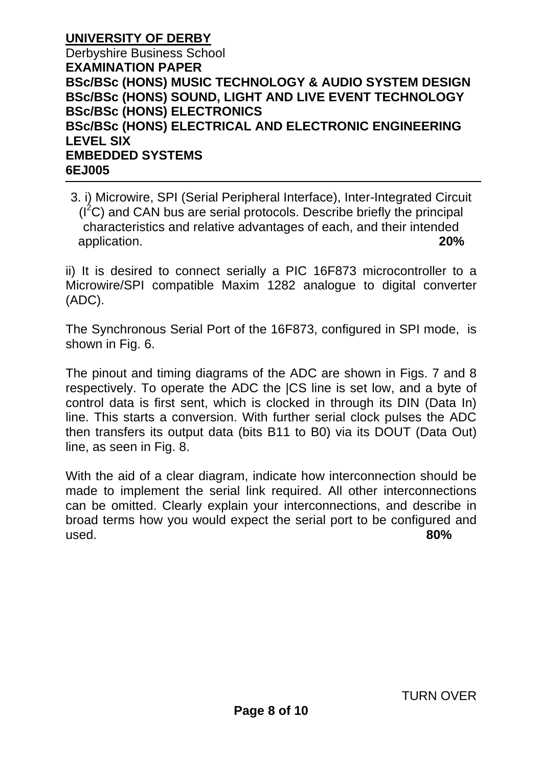#### **UNIVERSITY OF DERBY** Derbyshire Business School **EXAMINATION PAPER BSc/BSc (HONS) MUSIC TECHNOLOGY & AUDIO SYSTEM DESIGN BSc/BSc (HONS) SOUND, LIGHT AND LIVE EVENT TECHNOLOGY BSc/BSc (HONS) ELECTRONICS BSc/BSc (HONS) ELECTRICAL AND ELECTRONIC ENGINEERING LEVEL SIX EMBEDDED SYSTEMS 6EJ005**

3. i) Microwire, SPI (Serial Peripheral Interface), Inter-Integrated Circuit  $(I<sup>2</sup>C)$  and CAN bus are serial protocols. Describe briefly the principal characteristics and relative advantages of each, and their intended application. **20%** 

ii) It is desired to connect serially a PIC 16F873 microcontroller to a Microwire/SPI compatible Maxim 1282 analogue to digital converter (ADC).

The Synchronous Serial Port of the 16F873, configured in SPI mode, is shown in Fig. 6.

The pinout and timing diagrams of the ADC are shown in Figs. 7 and 8 respectively. To operate the ADC the |CS line is set low, and a byte of control data is first sent, which is clocked in through its DIN (Data In) line. This starts a conversion. With further serial clock pulses the ADC then transfers its output data (bits B11 to B0) via its DOUT (Data Out) line, as seen in Fig. 8.

With the aid of a clear diagram, indicate how interconnection should be made to implement the serial link required. All other interconnections can be omitted. Clearly explain your interconnections, and describe in broad terms how you would expect the serial port to be configured and used. **80%**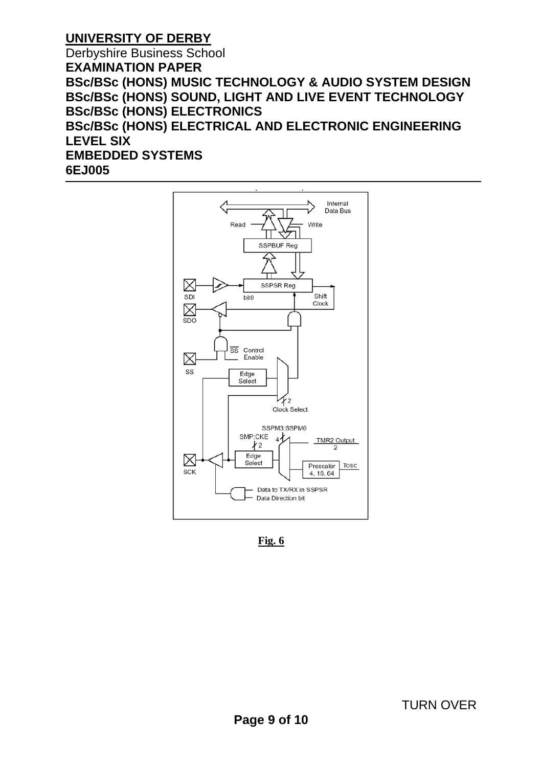Derbyshire Business School **EXAMINATION PAPER BSc/BSc (HONS) MUSIC TECHNOLOGY & AUDIO SYSTEM DESIGN BSc/BSc (HONS) SOUND, LIGHT AND LIVE EVENT TECHNOLOGY BSc/BSc (HONS) ELECTRONICS BSc/BSc (HONS) ELECTRICAL AND ELECTRONIC ENGINEERING LEVEL SIX EMBEDDED SYSTEMS 6EJ005**



**Fig. 6**